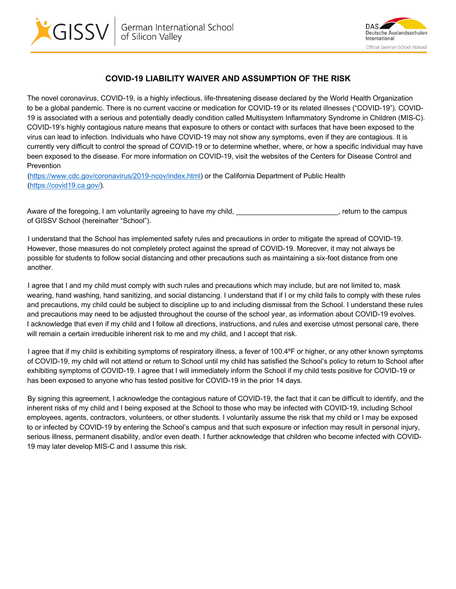



## **COVID-19 LIABILITY WAIVER AND ASSUMPTION OF THE RISK**

The novel coronavirus, COVID-19, is a highly infectious, life-threatening disease declared by the World Health Organization to be a global pandemic. There is no current vaccine or medication for COVID-19 or its related illnesses ("COVID-19"). COVID-19 is associated with a serious and potentially deadly condition called Multisystem Inflammatory Syndrome in Children (MIS-C). COVID-19's highly contagious nature means that exposure to others or contact with surfaces that have been exposed to the virus can lead to infection. Individuals who have COVID-19 may not show any symptoms, even if they are contagious. It is currently very difficult to control the spread of COVID-19 or to determine whether, where, or how a specific individual may have been exposed to the disease. For more information on COVID-19, visit the websites of the Centers for Disease Control and Prevention

(https://www.cdc.gov/coronavirus/2019-ncov/index.html) or the California Department of Public Health (https://covid19.ca.gov/).

Aware of the foregoing, I am voluntarily agreeing to have my child, **Example 20** Section 1, return to the campus of GISSV School (hereinafter "School").

I understand that the School has implemented safety rules and precautions in order to mitigate the spread of COVID-19. However, those measures do not completely protect against the spread of COVID-19. Moreover, it may not always be possible for students to follow social distancing and other precautions such as maintaining a six-foot distance from one another.

I agree that I and my child must comply with such rules and precautions which may include, but are not limited to, mask wearing, hand washing, hand sanitizing, and social distancing. I understand that if I or my child fails to comply with these rules and precautions, my child could be subject to discipline up to and including dismissal from the School. I understand these rules and precautions may need to be adjusted throughout the course of the school year, as information about COVID-19 evolves. I acknowledge that even if my child and I follow all directions, instructions, and rules and exercise utmost personal care, there will remain a certain irreducible inherent risk to me and my child, and I accept that risk.

I agree that if my child is exhibiting symptoms of respiratory illness, a fever of 100.4ºF or higher, or any other known symptoms of COVID-19, my child will not attend or return to School until my child has satisfied the School's policy to return to School after exhibiting symptoms of COVID-19. I agree that I will immediately inform the School if my child tests positive for COVID-19 or has been exposed to anyone who has tested positive for COVID-19 in the prior 14 days.

By signing this agreement, I acknowledge the contagious nature of COVID-19, the fact that it can be difficult to identify, and the inherent risks of my child and I being exposed at the School to those who may be infected with COVID-19, including School employees, agents, contractors, volunteers, or other students. I voluntarily assume the risk that my child or I may be exposed to or infected by COVID-19 by entering the School's campus and that such exposure or infection may result in personal injury, serious illness, permanent disability, and/or even death. I further acknowledge that children who become infected with COVID-19 may later develop MIS-C and I assume this risk.